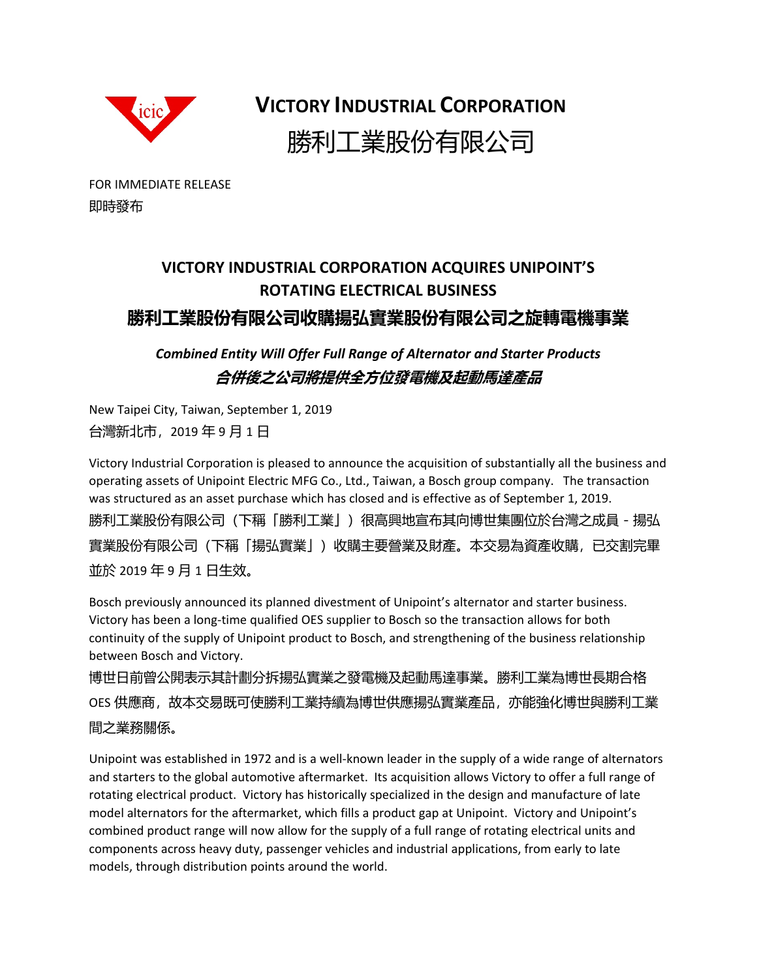

**VICTORY INDUSTRIAL CORPORATION** 勝利工業股份有限公司

FOR IMMEDIATE RELEASE 即時發布

## **VICTORY INDUSTRIAL CORPORATION ACQUIRES UNIPOINT'S ROTATING ELECTRICAL BUSINESS 勝利工業股份有限公司收購揚弘實業股份有限公司之旋轉電機事業**

*Combined Entity Will Offer Full Range of Alternator and Starter Products*  **合併後之公司將提供全方位發電機及起動馬達產品**

New Taipei City, Taiwan, September 1, 2019 台灣新北市,2019 年 9 月 1 日

Victory Industrial Corporation is pleased to announce the acquisition of substantially all the business and operating assets of Unipoint Electric MFG Co., Ltd., Taiwan, a Bosch group company. The transaction was structured as an asset purchase which has closed and is effective as of September 1, 2019. 勝利工業股份有限公司(下稱「勝利工業」)很高興地宣布其向博世集團位於台灣之成員 - 揚弘 實業股份有限公司(下稱「揚弘實業」)收購主要營業及財產。本交易為資產收購,已交割完畢 並於 2019 年 9 月 1 日生效。

Bosch previously announced its planned divestment of Unipoint's alternator and starter business. Victory has been a long‐time qualified OES supplier to Bosch so the transaction allows for both continuity of the supply of Unipoint product to Bosch, and strengthening of the business relationship between Bosch and Victory.

博世日前曾公開表示其計劃分拆揚弘實業之發電機及起動馬達事業。勝利工業為博世長期合格 OES 供應商,故本交易既可使勝利工業持續為博世供應揚弘實業產品,亦能強化博世與勝利工業 間之業務關係。

Unipoint was established in 1972 and is a well‐known leader in the supply of a wide range of alternators and starters to the global automotive aftermarket. Its acquisition allows Victory to offer a full range of rotating electrical product. Victory has historically specialized in the design and manufacture of late model alternators for the aftermarket, which fills a product gap at Unipoint. Victory and Unipoint's combined product range will now allow for the supply of a full range of rotating electrical units and components across heavy duty, passenger vehicles and industrial applications, from early to late models, through distribution points around the world.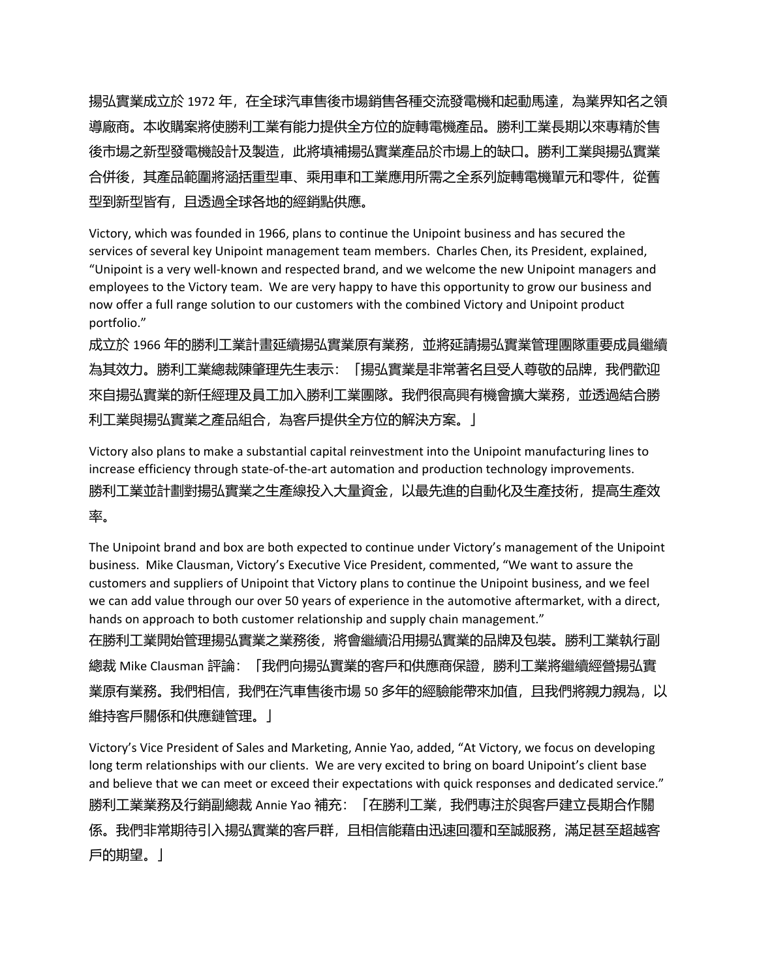揚弘實業成立於 1972 年,在全球汽車售後市場銷售各種交流發電機和起動馬達,為業界知名之領 導廠商。本收購案將使勝利工業有能力提供全方位的旋轉電機產品。勝利工業長期以來專精於售 後市場之新型發電機設計及製造,此將填補揚弘實業產品於市場上的缺口。勝利工業與揚弘實業 合併後,其產品範圍將涵括重型車、乘用車和工業應用所需之全系列旋轉電機單元和零件,從舊 型到新型皆有,且透過全球各地的經銷點供應。

Victory, which was founded in 1966, plans to continue the Unipoint business and has secured the services of several key Unipoint management team members. Charles Chen, its President, explained, "Unipoint is a very well‐known and respected brand, and we welcome the new Unipoint managers and employees to the Victory team. We are very happy to have this opportunity to grow our business and now offer a full range solution to our customers with the combined Victory and Unipoint product portfolio."

成立於 1966 年的勝利工業計畫延續揚弘實業原有業務,並將延請揚弘實業管理團隊重要成員繼續 為其效力。勝利工業總裁陳肇理先生表示:「揚弘實業是非常著名且受人尊敬的品牌,我們歡迎 來自揚弘實業的新任經理及員工加入勝利工業團隊。我們很高興有機會擴大業務,並透過結合勝 利工業與揚弘實業之產品組合,為客戶提供全方位的解決方案。」

Victory also plans to make a substantial capital reinvestment into the Unipoint manufacturing lines to increase efficiency through state‐of‐the‐art automation and production technology improvements. 勝利工業並計劃對揚弘實業之生產線投入大量資金,以最先進的自動化及生產技術,提高生產效 率。

The Unipoint brand and box are both expected to continue under Victory's management of the Unipoint business. Mike Clausman, Victory's Executive Vice President, commented, "We want to assure the customers and suppliers of Unipoint that Victory plans to continue the Unipoint business, and we feel we can add value through our over 50 years of experience in the automotive aftermarket, with a direct, hands on approach to both customer relationship and supply chain management."

在勝利工業開始管理揚弘實業之業務後,將會繼續沿用揚弘實業的品牌及包裝。勝利工業執行副 總裁 Mike Clausman 評論:「我們向揚弘實業的客戶和供應商保證,勝利工業將繼續經營揚弘實 業原有業務。我們相信,我們在汽車售後市場 50 多年的經驗能帶來加值,且我們將親力親為,以 維持客戶關係和供應鏈管理。」

Victory's Vice President of Sales and Marketing, Annie Yao, added, "At Victory, we focus on developing long term relationships with our clients. We are very excited to bring on board Unipoint's client base and believe that we can meet or exceed their expectations with quick responses and dedicated service." 勝利工業業務及行銷副總裁 Annie Yao 補充:「在勝利工業,我們專注於與客戶建立長期合作關 係。我們非常期待引入揚弘實業的客戶群,且相信能藉由迅速回覆和至誠服務,滿足甚至超越客 戶的期望。」